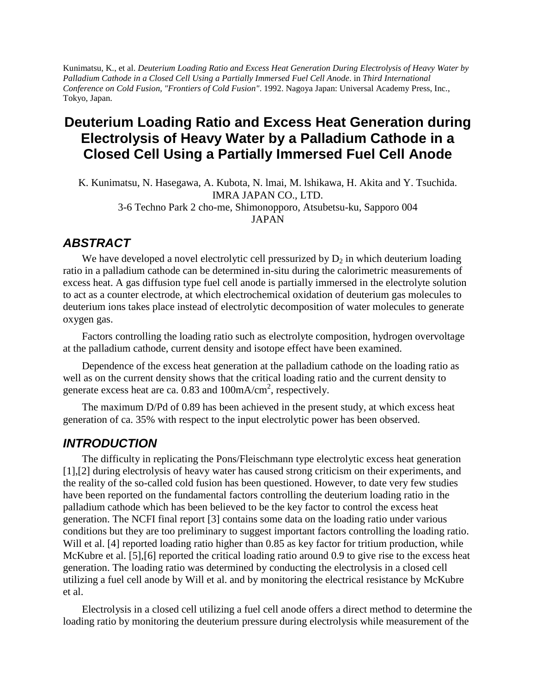Kunimatsu, K., et al. *Deuterium Loading Ratio and Excess Heat Generation During Electrolysis of Heavy Water by Palladium Cathode in a Closed Cell Using a Partially Immersed Fuel Cell Anode*. in *Third International Conference on Cold Fusion, "Frontiers of Cold Fusion"*. 1992. Nagoya Japan: Universal Academy Press, Inc., Tokyo, Japan.

# **Deuterium Loading Ratio and Excess Heat Generation during Electrolysis of Heavy Water by a Palladium Cathode in a Closed Cell Using a Partially Immersed Fuel Cell Anode**

K. Kunimatsu, N. Hasegawa, A. Kubota, N. lmai, M. lshikawa, H. Akita and Y. Tsuchida. IMRA JAPAN CO., LTD. 3-6 Techno Park 2 cho-me, Shimonopporo, Atsubetsu-ku, Sapporo 004 JAPAN

## *ABSTRACT*

We have developed a novel electrolytic cell pressurized by  $D_2$  in which deuterium loading ratio in a palladium cathode can be determined in-situ during the calorimetric measurements of excess heat. A gas diffusion type fuel cell anode is partially immersed in the electrolyte solution to act as a counter electrode, at which electrochemical oxidation of deuterium gas molecules to deuterium ions takes place instead of electrolytic decomposition of water molecules to generate oxygen gas.

Factors controlling the loading ratio such as electrolyte composition, hydrogen overvoltage at the palladium cathode, current density and isotope effect have been examined.

Dependence of the excess heat generation at the palladium cathode on the loading ratio as well as on the current density shows that the critical loading ratio and the current density to generate excess heat are ca. 0.83 and  $100 \text{mA/cm}^2$ , respectively.

The maximum D/Pd of 0.89 has been achieved in the present study, at which excess heat generation of ca. 35% with respect to the input electrolytic power has been observed.

### *INTRODUCTION*

The difficulty in replicating the Pons/Fleischmann type electrolytic excess heat generation [1],[2] during electrolysis of heavy water has caused strong criticism on their experiments, and the reality of the so-called cold fusion has been questioned. However, to date very few studies have been reported on the fundamental factors controlling the deuterium loading ratio in the palladium cathode which has been believed to be the key factor to control the excess heat generation. The NCFI final report [3] contains some data on the loading ratio under various conditions but they are too preliminary to suggest important factors controlling the loading ratio. Will et al. [4] reported loading ratio higher than 0.85 as key factor for tritium production, while McKubre et al. [5], [6] reported the critical loading ratio around 0.9 to give rise to the excess heat generation. The loading ratio was determined by conducting the electrolysis in a closed cell utilizing a fuel cell anode by Will et al. and by monitoring the electrical resistance by McKubre et al.

Electrolysis in a closed cell utilizing a fuel cell anode offers a direct method to determine the loading ratio by monitoring the deuterium pressure during electrolysis while measurement of the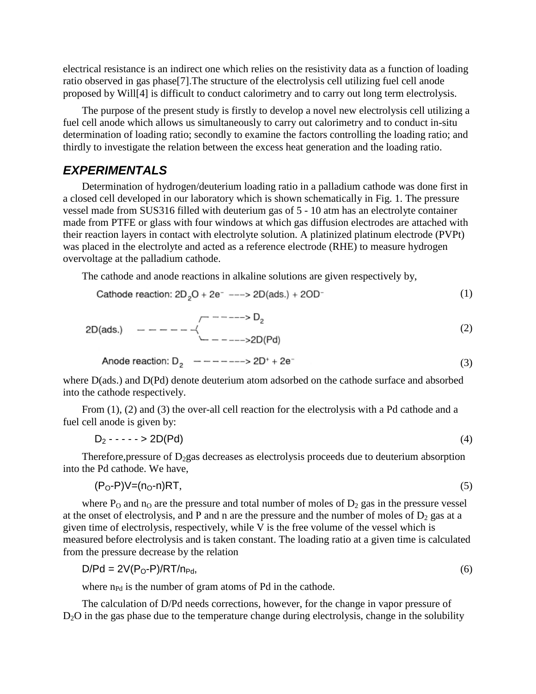electrical resistance is an indirect one which relies on the resistivity data as a function of loading ratio observed in gas phase[7].The structure of the electrolysis cell utilizing fuel cell anode proposed by Will[4] is difficult to conduct calorimetry and to carry out long term electrolysis.

The purpose of the present study is firstly to develop a novel new electrolysis cell utilizing a fuel cell anode which allows us simultaneously to carry out calorimetry and to conduct in-situ determination of loading ratio; secondly to examine the factors controlling the loading ratio; and thirdly to investigate the relation between the excess heat generation and the loading ratio.

## *EXPERIMENTALS*

Determination of hydrogen/deuterium loading ratio in a palladium cathode was done first in a closed cell developed in our laboratory which is shown schematically in Fig. 1. The pressure vessel made from SUS316 filled with deuterium gas of 5 - 10 atm has an electrolyte container made from PTFE or glass with four windows at which gas diffusion electrodes are attached with their reaction layers in contact with electrolyte solution. A platinized platinum electrode (PVPt) was placed in the electrolyte and acted as a reference electrode (RHE) to measure hydrogen overvoltage at the palladium cathode.

The cathode and anode reactions in alkaline solutions are given respectively by,

Cathode reaction: 
$$
2D_2O + 2e^-
$$
 --- >  $2D(ads.) + 2OD^-$  (1)

$$
2D(ads.) \t--- - - - - - \leftarrow \sum_{n=1}^{n} (2)
$$

Anode reaction: 
$$
D_2
$$
 — — — — — ——>> 2D<sup>+</sup> + 2e<sup>-</sup> (3)

where D(ads.) and D(Pd) denote deuterium atom adsorbed on the cathode surface and absorbed into the cathode respectively.

From (1), (2) and (3) the over-all cell reaction for the electrolysis with a Pd cathode and a fuel cell anode is given by:

$$
D_2 - \cdots - 2D(Pd) \tag{4}
$$

Therefore, pressure of  $D_2$ gas decreases as electrolysis proceeds due to deuterium absorption into the Pd cathode. We have,

$$
(P_0 - P)V = (n_0 - n)RT,\tag{5}
$$

where  $P_0$  and  $n_0$  are the pressure and total number of moles of  $D_2$  gas in the pressure vessel at the onset of electrolysis, and P and n are the pressure and the number of moles of  $D_2$  gas at a given time of electrolysis, respectively, while  $\overline{V}$  is the free volume of the vessel which is measured before electrolysis and is taken constant. The loading ratio at a given time is calculated from the pressure decrease by the relation

$$
D/Pd = 2V(P_0 - P)/RT/n_{Pd},\tag{6}
$$

where  $n_{\text{Pd}}$  is the number of gram atoms of Pd in the cathode.

The calculation of D/Pd needs corrections, however, for the change in vapor pressure of D<sub>2</sub>O in the gas phase due to the temperature change during electrolysis, change in the solubility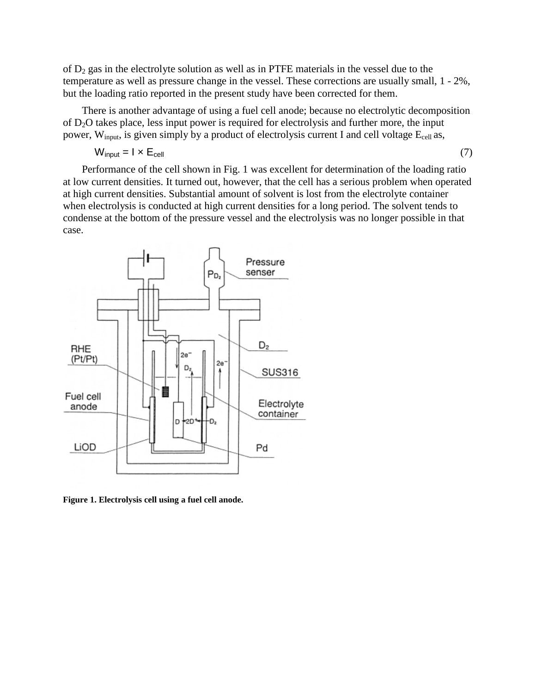of  $D_2$  gas in the electrolyte solution as well as in PTFE materials in the vessel due to the temperature as well as pressure change in the vessel. These corrections are usually small, 1 - 2%, but the loading ratio reported in the present study have been corrected for them.

There is another advantage of using a fuel cell anode; because no electrolytic decomposition of D2O takes place, less input power is required for electrolysis and further more, the input power,  $W_{input}$ , is given simply by a product of electrolysis current I and cell voltage  $E_{cell}$  as,

$$
W_{input} = I \times E_{cell} \tag{7}
$$

Performance of the cell shown in Fig. 1 was excellent for determination of the loading ratio at low current densities. It turned out, however, that the cell has a serious problem when operated at high current densities. Substantial amount of solvent is lost from the electrolyte container when electrolysis is conducted at high current densities for a long period. The solvent tends to condense at the bottom of the pressure vessel and the electrolysis was no longer possible in that case.



**Figure 1. Electrolysis cell using a fuel cell anode.**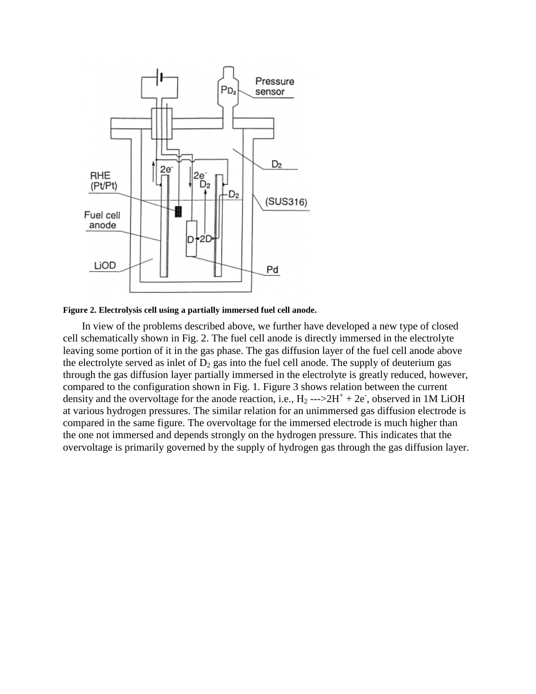

**Figure 2. Electrolysis cell using a partially immersed fuel cell anode.**

In view of the problems described above, we further have developed a new type of closed cell schematically shown in Fig. 2. The fuel cell anode is directly immersed in the electrolyte leaving some portion of it in the gas phase. The gas diffusion layer of the fuel cell anode above the electrolyte served as inlet of  $D_2$  gas into the fuel cell anode. The supply of deuterium gas through the gas diffusion layer partially immersed in the electrolyte is greatly reduced, however, compared to the configuration shown in Fig. 1. Figure 3 shows relation between the current density and the overvoltage for the anode reaction, i.e.,  $H_2 \rightarrow 2H^+ + 2e$ , observed in 1M LiOH at various hydrogen pressures. The similar relation for an unimmersed gas diffusion electrode is compared in the same figure. The overvoltage for the immersed electrode is much higher than the one not immersed and depends strongly on the hydrogen pressure. This indicates that the overvoltage is primarily governed by the supply of hydrogen gas through the gas diffusion layer.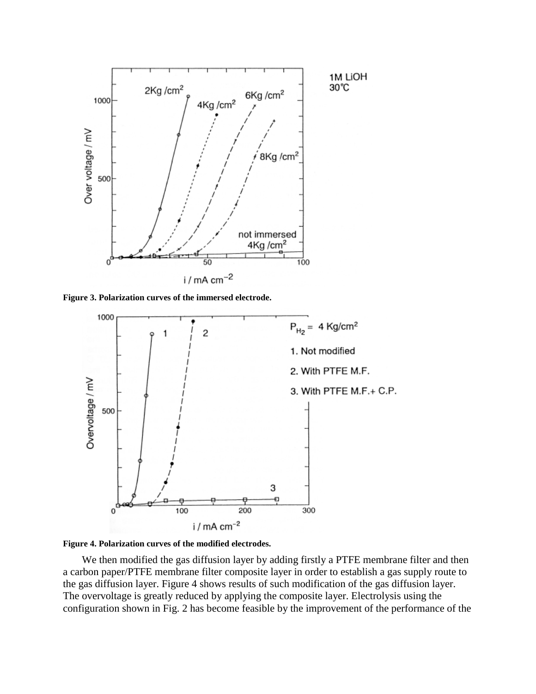

**Figure 3. Polarization curves of the immersed electrode.**





We then modified the gas diffusion layer by adding firstly a PTFE membrane filter and then a carbon paper/PTFE membrane filter composite layer in order to establish a gas supply route to the gas diffusion layer. Figure 4 shows results of such modification of the gas diffusion layer. The overvoltage is greatly reduced by applying the composite layer. Electrolysis using the configuration shown in Fig. 2 has become feasible by the improvement of the performance of the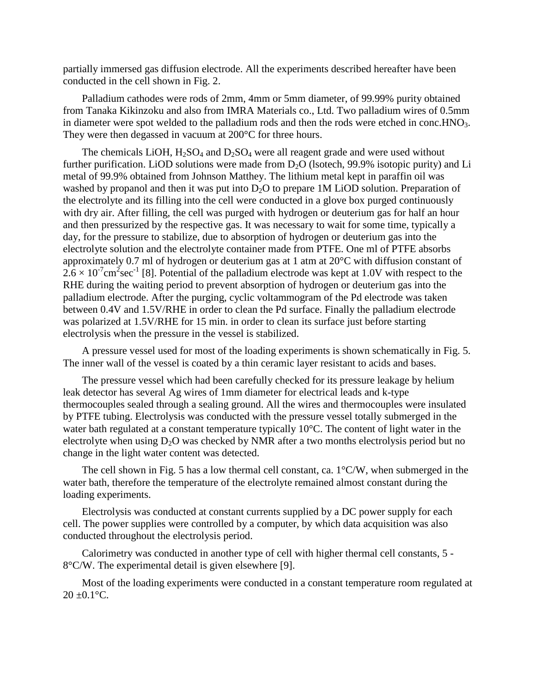partially immersed gas diffusion electrode. All the experiments described hereafter have been conducted in the cell shown in Fig. 2.

Palladium cathodes were rods of 2mm, 4mm or 5mm diameter, of 99.99% purity obtained from Tanaka Kikinzoku and also from IMRA Materials co., Ltd. Two palladium wires of 0.5mm in diameter were spot welded to the palladium rods and then the rods were etched in conc.  $HNO<sub>3</sub>$ . They were then degassed in vacuum at 200°C for three hours.

The chemicals LiOH,  $H_2SO_4$  and  $D_2SO_4$  were all reagent grade and were used without further purification. LiOD solutions were made from  $D_2O$  (lsotech, 99.9% isotopic purity) and Li metal of 99.9% obtained from Johnson Matthey. The lithium metal kept in paraffin oil was washed by propanol and then it was put into  $D_2O$  to prepare 1M LiOD solution. Preparation of the electrolyte and its filling into the cell were conducted in a glove box purged continuously with dry air. After filling, the cell was purged with hydrogen or deuterium gas for half an hour and then pressurized by the respective gas. It was necessary to wait for some time, typically a day, for the pressure to stabilize, due to absorption of hydrogen or deuterium gas into the electrolyte solution and the electrolyte container made from PTFE. One ml of PTFE absorbs approximately 0.7 ml of hydrogen or deuterium gas at 1 atm at 20°C with diffusion constant of  $2.6 \times 10^{-7}$  cm<sup>2</sup>sec<sup>-1</sup> [8]. Potential of the palladium electrode was kept at 1.0V with respect to the RHE during the waiting period to prevent absorption of hydrogen or deuterium gas into the palladium electrode. After the purging, cyclic voltammogram of the Pd electrode was taken between 0.4V and 1.5V/RHE in order to clean the Pd surface. Finally the palladium electrode was polarized at 1.5V/RHE for 15 min. in order to clean its surface just before starting electrolysis when the pressure in the vessel is stabilized.

A pressure vessel used for most of the loading experiments is shown schematically in Fig. 5. The inner wall of the vessel is coated by a thin ceramic layer resistant to acids and bases.

The pressure vessel which had been carefully checked for its pressure leakage by helium leak detector has several Ag wires of 1mm diameter for electrical leads and k-type thermocouples sealed through a sealing ground. All the wires and thermocouples were insulated by PTFE tubing. Electrolysis was conducted with the pressure vessel totally submerged in the water bath regulated at a constant temperature typically 10°C. The content of light water in the electrolyte when using  $D_2O$  was checked by NMR after a two months electrolysis period but no change in the light water content was detected.

The cell shown in Fig. 5 has a low thermal cell constant, ca.  $1^{\circ}$ C/W, when submerged in the water bath, therefore the temperature of the electrolyte remained almost constant during the loading experiments.

Electrolysis was conducted at constant currents supplied by a DC power supply for each cell. The power supplies were controlled by a computer, by which data acquisition was also conducted throughout the electrolysis period.

Calorimetry was conducted in another type of cell with higher thermal cell constants, 5 - 8°C/W. The experimental detail is given elsewhere [9].

Most of the loading experiments were conducted in a constant temperature room regulated at  $20 + 0.1$ °C.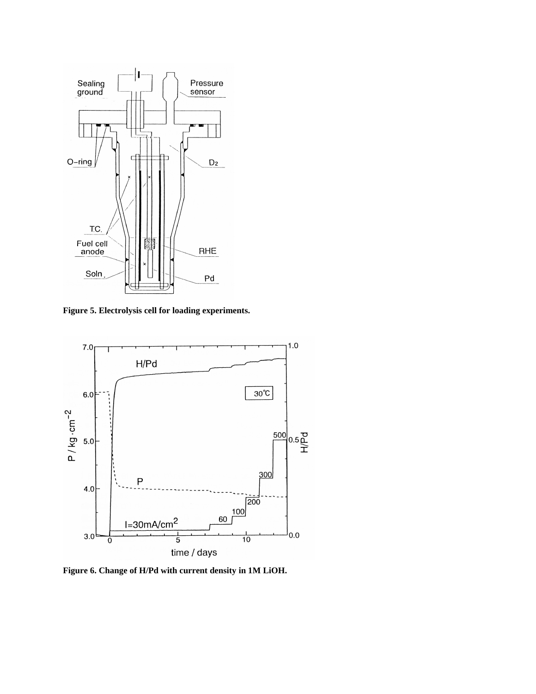

**Figure 5. Electrolysis cell for loading experiments.**



**Figure 6. Change of H/Pd with current density in 1M LiOH.**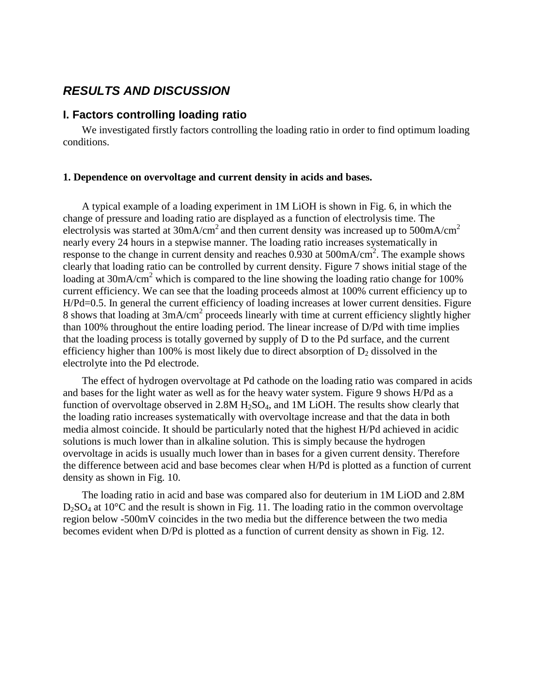## *RESULTS AND DISCUSSION*

### **I. Factors controlling loading ratio**

We investigated firstly factors controlling the loading ratio in order to find optimum loading conditions.

#### **1. Dependence on overvoltage and current density in acids and bases.**

A typical example of a loading experiment in 1M LiOH is shown in Fig. 6, in which the change of pressure and loading ratio are displayed as a function of electrolysis time. The electrolysis was started at  $30 \text{mA/cm}^2$  and then current density was increased up to  $500 \text{mA/cm}^2$ nearly every 24 hours in a stepwise manner. The loading ratio increases systematically in response to the change in current density and reaches  $0.930$  at  $500$ mA/cm<sup>2</sup>. The example shows clearly that loading ratio can be controlled by current density. Figure 7 shows initial stage of the loading at  $30 \text{mA/cm}^2$  which is compared to the line showing the loading ratio change for 100% current efficiency. We can see that the loading proceeds almost at 100% current efficiency up to H/Pd=0.5. In general the current efficiency of loading increases at lower current densities. Figure 8 shows that loading at 3mA/cm<sup>2</sup> proceeds linearly with time at current efficiency slightly higher than 100% throughout the entire loading period. The linear increase of D/Pd with time implies that the loading process is totally governed by supply of D to the Pd surface, and the current efficiency higher than 100% is most likely due to direct absorption of  $D_2$  dissolved in the electrolyte into the Pd electrode.

The effect of hydrogen overvoltage at Pd cathode on the loading ratio was compared in acids and bases for the light water as well as for the heavy water system. Figure 9 shows H/Pd as a function of overvoltage observed in  $2.8M H<sub>2</sub>SO<sub>4</sub>$ , and 1M LiOH. The results show clearly that the loading ratio increases systematically with overvoltage increase and that the data in both media almost coincide. It should be particularly noted that the highest H/Pd achieved in acidic solutions is much lower than in alkaline solution. This is simply because the hydrogen overvoltage in acids is usually much lower than in bases for a given current density. Therefore the difference between acid and base becomes clear when H/Pd is plotted as a function of current density as shown in Fig. 10.

The loading ratio in acid and base was compared also for deuterium in 1M LiOD and 2.8M  $D_2SO_4$  at 10<sup>o</sup>C and the result is shown in Fig. 11. The loading ratio in the common overvoltage region below -500mV coincides in the two media but the difference between the two media becomes evident when D/Pd is plotted as a function of current density as shown in Fig. 12.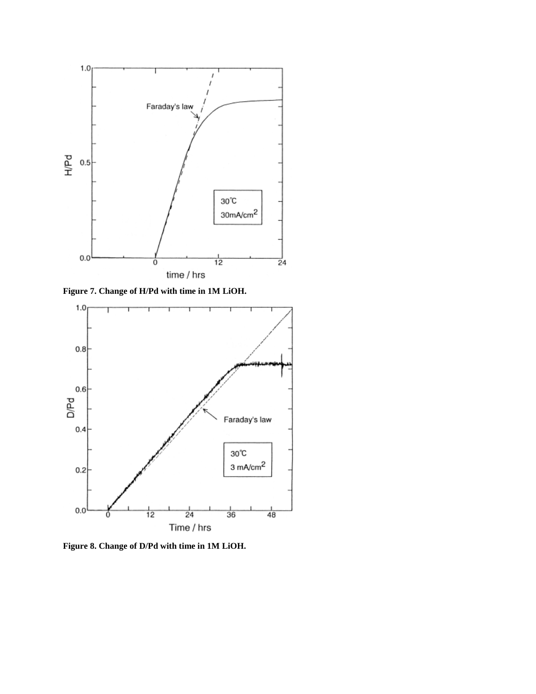

**Figure 7. Change of H/Pd with time in 1M LiOH.**



**Figure 8. Change of D/Pd with time in 1M LiOH.**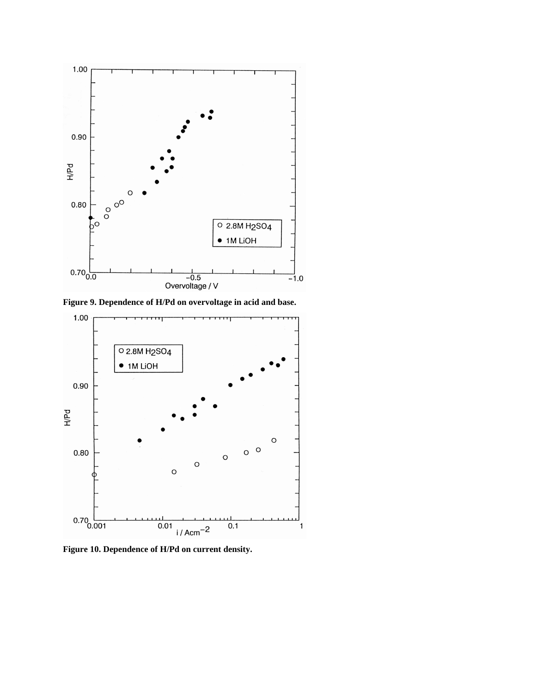

**Figure 9. Dependence of H/Pd on overvoltage in acid and base.**



**Figure 10. Dependence of H/Pd on current density.**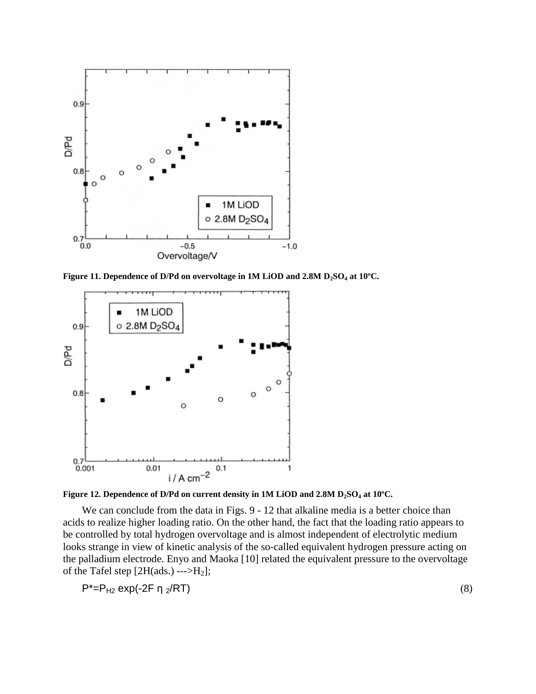

**Figure 11. Dependence of D/Pd on overvoltage in 1M LiOD and 2.8M D2SO<sup>4</sup> at 10ºC.**



**Figure 12. Dependence of D/Pd on current density in 1M LiOD and 2.8M D2SO<sup>4</sup> at 10ºC.**

We can conclude from the data in Figs. 9 - 12 that alkaline media is a better choice than acids to realize higher loading ratio. On the other hand, the fact that the loading ratio appears to be controlled by total hydrogen overvoltage and is almost independent of electrolytic medium looks strange in view of kinetic analysis of the so-called equivalent hydrogen pressure acting on the palladium electrode. Enyo and Maoka [10] related the equivalent pressure to the overvoltage of the Tafel step [2H(ads.) --->H2];

$$
P^* = P_{H2} \exp(-2F \eta_2/RT) \tag{8}
$$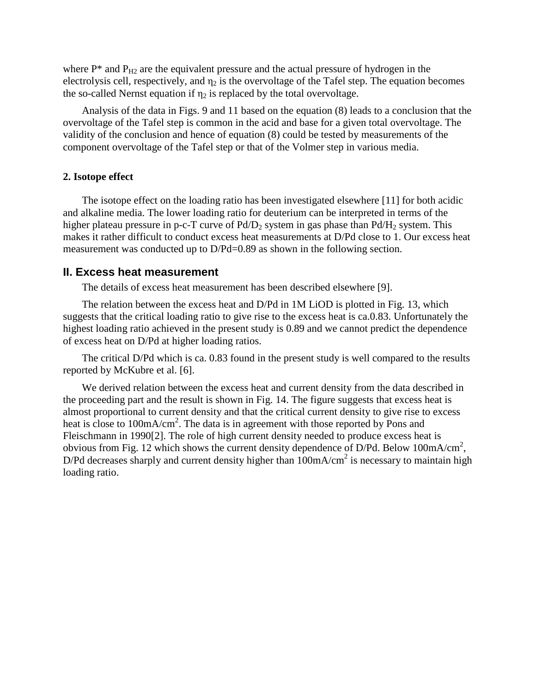where  $P^*$  and  $P_{H2}$  are the equivalent pressure and the actual pressure of hydrogen in the electrolysis cell, respectively, and  $\eta_2$  is the overvoltage of the Tafel step. The equation becomes the so-called Nernst equation if  $\eta_2$  is replaced by the total overvoltage.

Analysis of the data in Figs. 9 and 11 based on the equation (8) leads to a conclusion that the overvoltage of the Tafel step is common in the acid and base for a given total overvoltage. The validity of the conclusion and hence of equation (8) could be tested by measurements of the component overvoltage of the Tafel step or that of the Volmer step in various media.

#### **2. Isotope effect**

The isotope effect on the loading ratio has been investigated elsewhere [11] for both acidic and alkaline media. The lower loading ratio for deuterium can be interpreted in terms of the higher plateau pressure in p-c-T curve of  $Pd/D_2$  system in gas phase than  $Pd/H_2$  system. This makes it rather difficult to conduct excess heat measurements at D/Pd close to 1. Our excess heat measurement was conducted up to D/Pd=0.89 as shown in the following section.

### **II. Excess heat measurement**

The details of excess heat measurement has been described elsewhere [9].

The relation between the excess heat and D/Pd in 1M LiOD is plotted in Fig. 13, which suggests that the critical loading ratio to give rise to the excess heat is ca.0.83. Unfortunately the highest loading ratio achieved in the present study is 0.89 and we cannot predict the dependence of excess heat on D/Pd at higher loading ratios.

The critical D/Pd which is ca. 0.83 found in the present study is well compared to the results reported by McKubre et al. [6].

We derived relation between the excess heat and current density from the data described in the proceeding part and the result is shown in Fig. 14. The figure suggests that excess heat is almost proportional to current density and that the critical current density to give rise to excess heat is close to 100mA/cm<sup>2</sup>. The data is in agreement with those reported by Pons and Fleischmann in 1990[2]. The role of high current density needed to produce excess heat is obvious from Fig. 12 which shows the current density dependence of D/Pd. Below  $100 \text{mA/cm}^2$ , D/Pd decreases sharply and current density higher than  $100 \text{mA/cm}^2$  is necessary to maintain high loading ratio.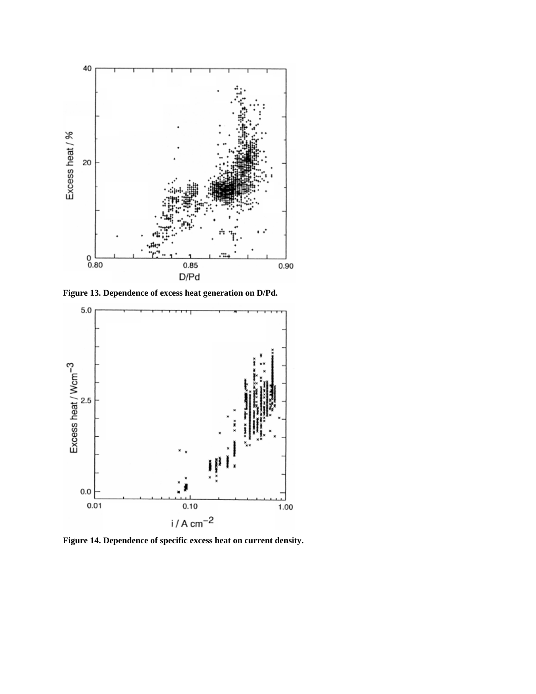

**Figure 13. Dependence of excess heat generation on D/Pd.**



**Figure 14. Dependence of specific excess heat on current density.**